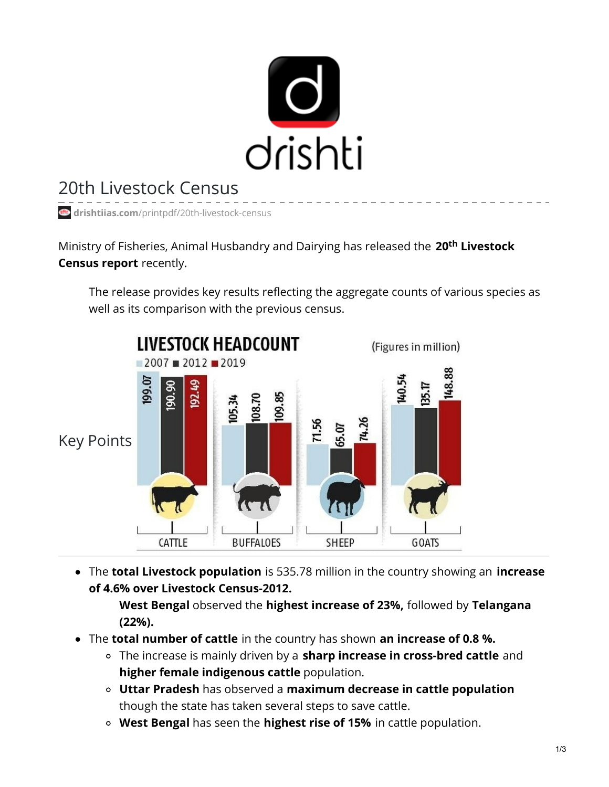

## 20th Livestock Census

**drishtiias.com**[/printpdf/20th-livestock-census](https://www.drishtiias.com/printpdf/20th-livestock-census)

Ministry of Fisheries, Animal Husbandry and Dairying has released the 20<sup>th</sup> Livestock **Census report** recently.

The release provides key results reflecting the aggregate counts of various species as well as its comparison with the previous census.



The **total Livestock population** is 535.78 million in the country showing an **increase of 4.6% over Livestock Census-2012.**

**West Bengal** observed the **highest increase of 23%,** followed by **Telangana (22%).**

- The **total number of cattle** in the country has shown **an increase of 0.8 %.**
	- The increase is mainly driven by a **sharp increase in cross-bred cattle** and **higher female indigenous cattle** population.
	- **Uttar Pradesh** has observed a **maximum decrease in cattle population** though the state has taken several steps to save cattle.
	- **West Bengal** has seen the **highest rise of 15%** in cattle population.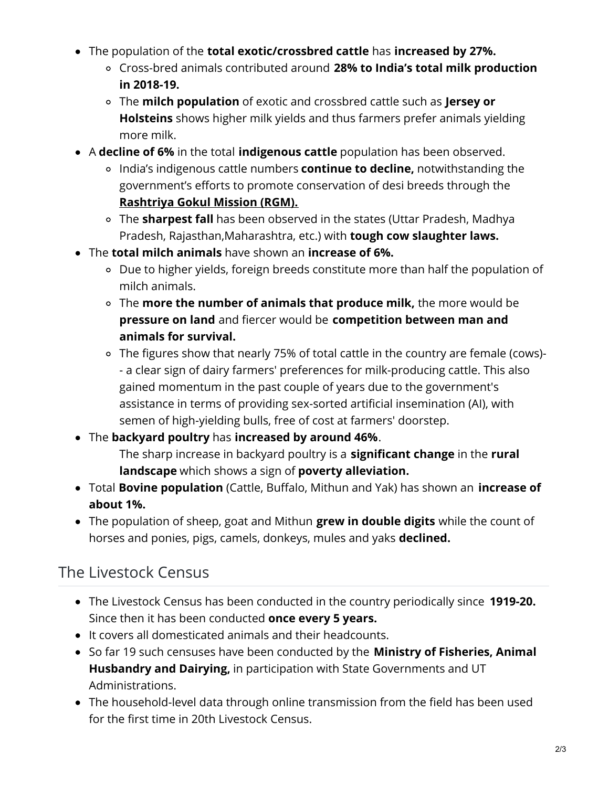- The population of the **total exotic/crossbred cattle** has **increased by 27%.**
	- Cross-bred animals contributed around **28% to India's total milk production in 2018-19.**
	- The **milch population** of exotic and crossbred cattle such as **Jersey or Holsteins** shows higher milk yields and thus farmers prefer animals yielding more milk.
- A **decline of 6%** in the total **indigenous cattle** population has been observed.
	- India's indigenous cattle numbers **continue to decline,** notwithstanding the government's efforts to promote conservation of desi breeds through the **[Rashtriya](https://www.drishtiias.com/daily-updates/daily-news-analysis/rashtriya-gokul-mission) Gokul Mission (RGM).**
	- The **sharpest fall** has been observed in the states (Uttar Pradesh, Madhya Pradesh, Rajasthan,Maharashtra, etc.) with **tough cow slaughter laws.**
- The **total milch animals** have shown an **increase of 6%.**
	- Due to higher yields, foreign breeds constitute more than half the population of milch animals.
	- The **more the number of animals that produce milk,** the more would be **pressure on land** and fiercer would be **competition between man and animals for survival.**
	- The figures show that nearly 75% of total cattle in the country are female (cows)- - a clear sign of dairy farmers' preferences for milk-producing cattle. This also gained momentum in the past couple of years due to the government's assistance in terms of providing sex-sorted artificial insemination (AI), with semen of high-yielding bulls, free of cost at farmers' doorstep.
- The **backyard poultry** has **increased by around 46%**. The sharp increase in backyard poultry is a **significant change** in the **rural landscape** which shows a sign of **poverty alleviation.**
- Total **Bovine population** (Cattle, Buffalo, Mithun and Yak) has shown an **increase of about 1%.**
- The population of sheep, goat and Mithun **grew in double digits** while the count of horses and ponies, pigs, camels, donkeys, mules and yaks **declined.**

## The Livestock Census

- The Livestock Census has been conducted in the country periodically since **1919-20.** Since then it has been conducted **once every 5 years.**
- It covers all domesticated animals and their headcounts.
- So far 19 such censuses have been conducted by the **Ministry of Fisheries, Animal Husbandry and Dairying,** in participation with State Governments and UT Administrations.
- The household-level data through online transmission from the field has been used for the first time in 20th Livestock Census.